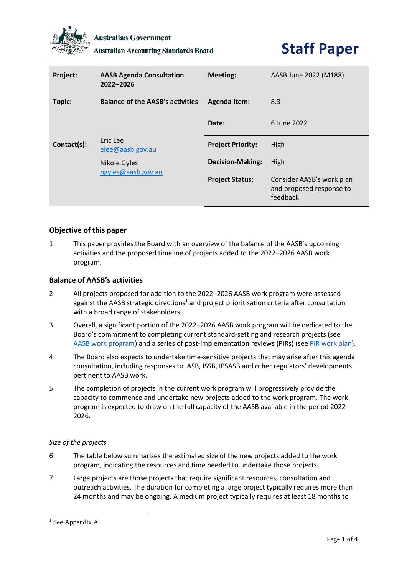

**Australian Government** 

**Australian Accounting Standards Board** 

# **Staff Paper**

| Project:    | <b>AASB Agenda Consultation</b><br>2022-2026 | <b>Meeting:</b>          | AASB June 2022 (M188)                                             |
|-------------|----------------------------------------------|--------------------------|-------------------------------------------------------------------|
| Topic:      | <b>Balance of the AASB's activities</b>      | <b>Agenda Item:</b>      | 8.3                                                               |
|             |                                              | Date:                    | 6 June 2022                                                       |
| Contact(s): | Eric Lee<br>elee@aash.gov.au                 | <b>Project Priority:</b> | High                                                              |
|             | Nikole Gyles                                 | <b>Decision-Making:</b>  | High                                                              |
|             | ngyles@aasb.gov.au                           | <b>Project Status:</b>   | Consider AASB's work plan<br>and proposed response to<br>feedback |

## **Objective of this paper**

1 This paper provides the Board with an overview of the balance of the AASB's upcoming activities and the proposed timeline of projects added to the 2022–2026 AASB work program.

## **Balance of AASB's activities**

- 2 All projects proposed for addition to the 2022–2026 AASB work program were assessed against the AASB strategic directions<sup>1</sup> and project prioritisation criteria after consultation with a broad range of stakeholders.
- 3 Overall, a significant portion of the 2022–2026 AASB work program will be dedicated to the Board's commitment to completing current standard-setting and research projects (see [AASB work program\)](https://www.aasb.gov.au/current-projects/work-program/) and a series of post-implementation reviews (PIRs) (see [PIR](https://www.aasb.gov.au/media/xvlkqnfv/04-1_sp_cm_m187_pp.pdf) work plan).
- 4 The Board also expects to undertake time-sensitive projects that may arise after this agenda consultation, including responses to IASB, ISSB, IPSASB and other regulators' developments pertinent to AASB work.
- 5 The completion of projects in the current work program will progressively provide the capacity to commence and undertake new projects added to the work program. The work program is expected to draw on the full capacity of the AASB available in the period 2022– 2026.

## *Size of the projects*

- 6 The table below summarises the estimated size of the new projects added to the work program, indicating the resources and time needed to undertake those projects.
- 7 Large projects are those projects that require significant resources, consultation and outreach activities. The duration for completing a large project typically requires more than 24 months and may be ongoing. A medium project typically requires at least 18 months to

<sup>&</sup>lt;sup>1</sup> See Appendix A.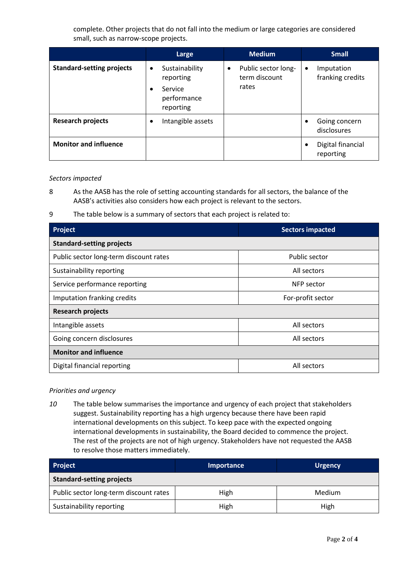complete. Other projects that do not fall into the medium or large categories are considered small, such as narrow-scope projects.

|                                  | Large                                                                           | <b>Medium</b>                                 | <b>Small</b>                                |
|----------------------------------|---------------------------------------------------------------------------------|-----------------------------------------------|---------------------------------------------|
| <b>Standard-setting projects</b> | Sustainability<br>$\bullet$<br>reporting<br>Service<br>performance<br>reporting | Public sector long-<br>term discount<br>rates | Imputation<br>$\bullet$<br>franking credits |
| <b>Research projects</b>         | Intangible assets                                                               |                                               | Going concern<br>٠<br>disclosures           |
| <b>Monitor and influence</b>     |                                                                                 |                                               | Digital financial<br>٠<br>reporting         |

#### *Sectors impacted*

8 As the AASB has the role of setting accounting standards for all sectors, the balance of the AASB's activities also considers how each project is relevant to the sectors.

9 The table below is a summary of sectors that each project is related to:

| Project                                | <b>Sectors impacted</b> |  |  |  |  |
|----------------------------------------|-------------------------|--|--|--|--|
| <b>Standard-setting projects</b>       |                         |  |  |  |  |
| Public sector long-term discount rates | Public sector           |  |  |  |  |
| Sustainability reporting               | All sectors             |  |  |  |  |
| Service performance reporting          | NFP sector              |  |  |  |  |
| Imputation franking credits            | For-profit sector       |  |  |  |  |
| <b>Research projects</b>               |                         |  |  |  |  |
| Intangible assets                      | All sectors             |  |  |  |  |
| Going concern disclosures              | All sectors             |  |  |  |  |
| <b>Monitor and influence</b>           |                         |  |  |  |  |
| Digital financial reporting            | All sectors             |  |  |  |  |

## *Priorities and urgency*

*10* The table below summarises the importance and urgency of each project that stakeholders suggest. Sustainability reporting has a high urgency because there have been rapid international developments on this subject. To keep pace with the expected ongoing international developments in sustainability, the Board decided to commence the project. The rest of the projects are not of high urgency. Stakeholders have not requested the AASB to resolve those matters immediately.

| <b>Project</b>                         | Importance | <b>Urgency</b> |  |  |
|----------------------------------------|------------|----------------|--|--|
| <b>Standard-setting projects</b>       |            |                |  |  |
| Public sector long-term discount rates | High       | <b>Medium</b>  |  |  |
| Sustainability reporting               | High       | High           |  |  |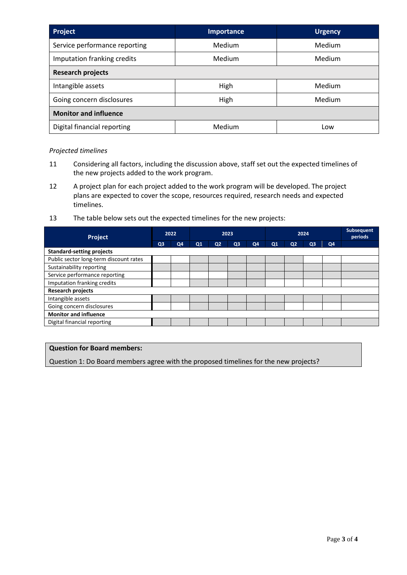| Project                       | Importance | <b>Urgency</b> |  |  |  |
|-------------------------------|------------|----------------|--|--|--|
| Service performance reporting | Medium     | Medium         |  |  |  |
| Imputation franking credits   | Medium     | Medium         |  |  |  |
| <b>Research projects</b>      |            |                |  |  |  |
| Intangible assets             | High       | Medium         |  |  |  |
| Going concern disclosures     | High       | Medium         |  |  |  |
| <b>Monitor and influence</b>  |            |                |  |  |  |
| Digital financial reporting   | Medium     | Low            |  |  |  |

## *Projected timelines*

- 11 Considering all factors, including the discussion above, staff set out the expected timelines of the new projects added to the work program.
- 12 A project plan for each project added to the work program will be developed. The project plans are expected to cover the scope, resources required, research needs and expected timelines.
- 13 The table below sets out the expected timelines for the new projects:

| Project                                |                | 2022 |    | 2023           |                |    | 2024           |                |                |                | <b>Subsequent</b><br>periods |
|----------------------------------------|----------------|------|----|----------------|----------------|----|----------------|----------------|----------------|----------------|------------------------------|
|                                        | Q <sub>3</sub> | Q4   | Q1 | Q <sub>2</sub> | Q <sub>3</sub> | Q4 | Q <sub>1</sub> | Q <sub>2</sub> | Q <sub>3</sub> | Q <sub>4</sub> |                              |
| <b>Standard-setting projects</b>       |                |      |    |                |                |    |                |                |                |                |                              |
| Public sector long-term discount rates |                |      |    |                |                |    |                |                |                |                |                              |
| Sustainability reporting               |                |      |    |                |                |    |                |                |                |                |                              |
| Service performance reporting          |                |      |    |                |                |    |                |                |                |                |                              |
| Imputation franking credits            |                |      |    |                |                |    |                |                |                |                |                              |
| <b>Research projects</b>               |                |      |    |                |                |    |                |                |                |                |                              |
| Intangible assets                      |                |      |    |                |                |    |                |                |                |                |                              |
| Going concern disclosures              |                |      |    |                |                |    |                |                |                |                |                              |
| <b>Monitor and influence</b>           |                |      |    |                |                |    |                |                |                |                |                              |
| Digital financial reporting            |                |      |    |                |                |    |                |                |                |                |                              |

## **Question for Board members:**

Question 1: Do Board members agree with the proposed timelines for the new projects?